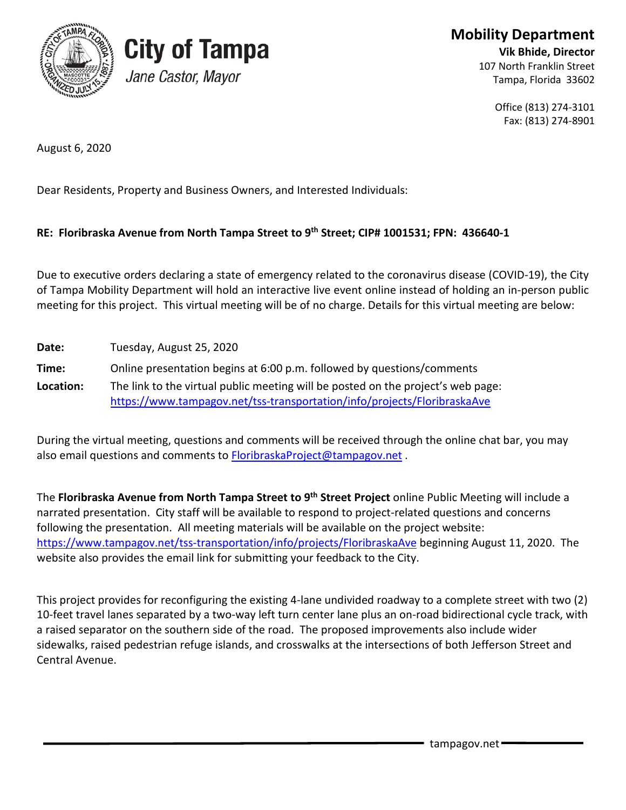

## **City of Tampa** Jane Castor, Mayor

**Mobility Department**

**Vik Bhide, Director** 107 North Franklin Street Tampa, Florida 33602

> Office (813) 274-3101 Fax: (813) 274-8901

August 6, 2020

Dear Residents, Property and Business Owners, and Interested Individuals:

## **RE: Floribraska Avenue from North Tampa Street to 9th Street; CIP# 1001531; FPN: 436640-1**

Due to executive orders declaring a state of emergency related to the coronavirus disease (COVID-19), the City of Tampa Mobility Department will hold an interactive live event online instead of holding an in-person public meeting for this project. This virtual meeting will be of no charge. Details for this virtual meeting are below:

| Date:     | Tuesday, August 25, 2020                                                         |
|-----------|----------------------------------------------------------------------------------|
| Time:     | Online presentation begins at 6:00 p.m. followed by questions/comments           |
| Location: | The link to the virtual public meeting will be posted on the project's web page: |
|           | https://www.tampagov.net/tss-transportation/info/projects/FloribraskaAve         |

During the virtual meeting, questions and comments will be received through the online chat bar, you may also email questions and comments to **FloribraskaProject@tampagov.net**.

The **Floribraska Avenue from North Tampa Street to 9th Street Project** online Public Meeting will include a narrated presentation. City staff will be available to respond to project-related questions and concerns following the presentation. All meeting materials will be available on the project website: <https://www.tampagov.net/tss-transportation/info/projects/FloribraskaAve> beginning August 11, 2020. The website also provides the email link for submitting your feedback to the City.

This project provides for reconfiguring the existing 4-lane undivided roadway to a complete street with two (2) 10-feet travel lanes separated by a two-way left turn center lane plus an on-road bidirectional cycle track, with a raised separator on the southern side of the road. The proposed improvements also include wider sidewalks, raised pedestrian refuge islands, and crosswalks at the intersections of both Jefferson Street and Central Avenue.